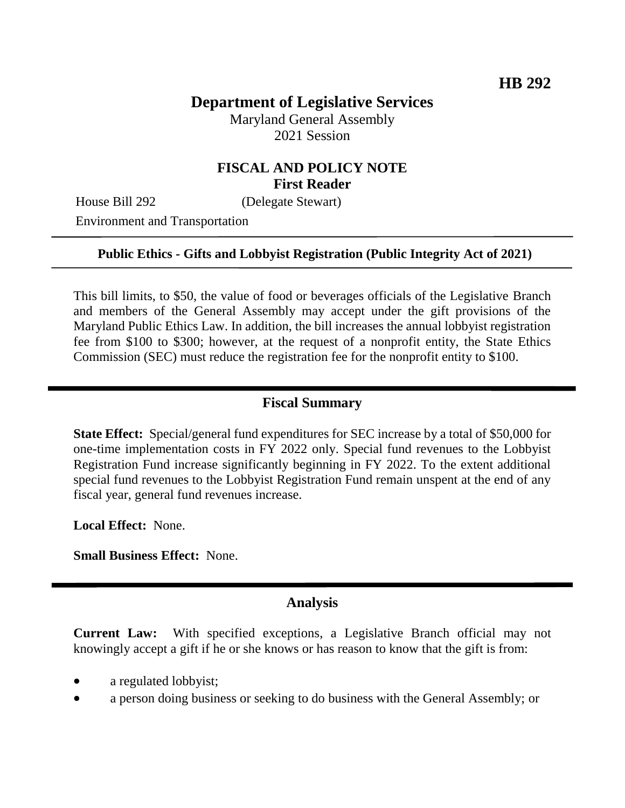# **Department of Legislative Services**

Maryland General Assembly 2021 Session

## **FISCAL AND POLICY NOTE First Reader**

House Bill 292 (Delegate Stewart)

Environment and Transportation

#### **Public Ethics - Gifts and Lobbyist Registration (Public Integrity Act of 2021)**

This bill limits, to \$50, the value of food or beverages officials of the Legislative Branch and members of the General Assembly may accept under the gift provisions of the Maryland Public Ethics Law. In addition, the bill increases the annual lobbyist registration fee from \$100 to \$300; however, at the request of a nonprofit entity, the State Ethics Commission (SEC) must reduce the registration fee for the nonprofit entity to \$100.

### **Fiscal Summary**

**State Effect:** Special/general fund expenditures for SEC increase by a total of \$50,000 for one-time implementation costs in FY 2022 only. Special fund revenues to the Lobbyist Registration Fund increase significantly beginning in FY 2022. To the extent additional special fund revenues to the Lobbyist Registration Fund remain unspent at the end of any fiscal year, general fund revenues increase.

**Local Effect:** None.

**Small Business Effect:** None.

#### **Analysis**

**Current Law:** With specified exceptions, a Legislative Branch official may not knowingly accept a gift if he or she knows or has reason to know that the gift is from:

- a regulated lobbyist;
- a person doing business or seeking to do business with the General Assembly; or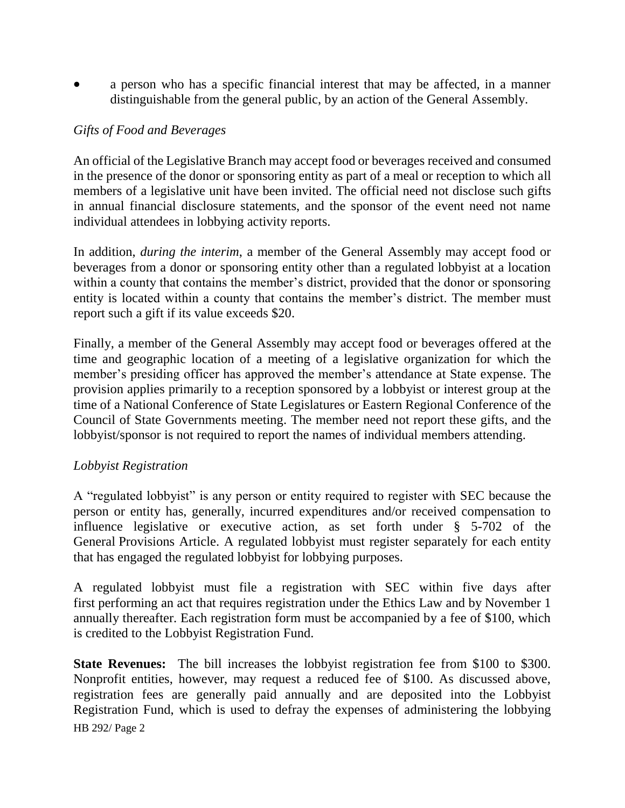a person who has a specific financial interest that may be affected, in a manner distinguishable from the general public, by an action of the General Assembly.

### *Gifts of Food and Beverages*

An official of the Legislative Branch may accept food or beverages received and consumed in the presence of the donor or sponsoring entity as part of a meal or reception to which all members of a legislative unit have been invited. The official need not disclose such gifts in annual financial disclosure statements, and the sponsor of the event need not name individual attendees in lobbying activity reports.

In addition, *during the interim*, a member of the General Assembly may accept food or beverages from a donor or sponsoring entity other than a regulated lobbyist at a location within a county that contains the member's district, provided that the donor or sponsoring entity is located within a county that contains the member's district. The member must report such a gift if its value exceeds \$20.

Finally, a member of the General Assembly may accept food or beverages offered at the time and geographic location of a meeting of a legislative organization for which the member's presiding officer has approved the member's attendance at State expense. The provision applies primarily to a reception sponsored by a lobbyist or interest group at the time of a National Conference of State Legislatures or Eastern Regional Conference of the Council of State Governments meeting. The member need not report these gifts, and the lobbyist/sponsor is not required to report the names of individual members attending.

#### *Lobbyist Registration*

A "regulated lobbyist" is any person or entity required to register with SEC because the person or entity has, generally, incurred expenditures and/or received compensation to influence legislative or executive action, as set forth under § 5-702 of the General Provisions Article. A regulated lobbyist must register separately for each entity that has engaged the regulated lobbyist for lobbying purposes.

A regulated lobbyist must file a registration with SEC within five days after first performing an act that requires registration under the Ethics Law and by November 1 annually thereafter. Each registration form must be accompanied by a fee of \$100, which is credited to the Lobbyist Registration Fund.

HB 292/ Page 2 **State Revenues:** The bill increases the lobbyist registration fee from \$100 to \$300. Nonprofit entities, however, may request a reduced fee of \$100. As discussed above, registration fees are generally paid annually and are deposited into the Lobbyist Registration Fund, which is used to defray the expenses of administering the lobbying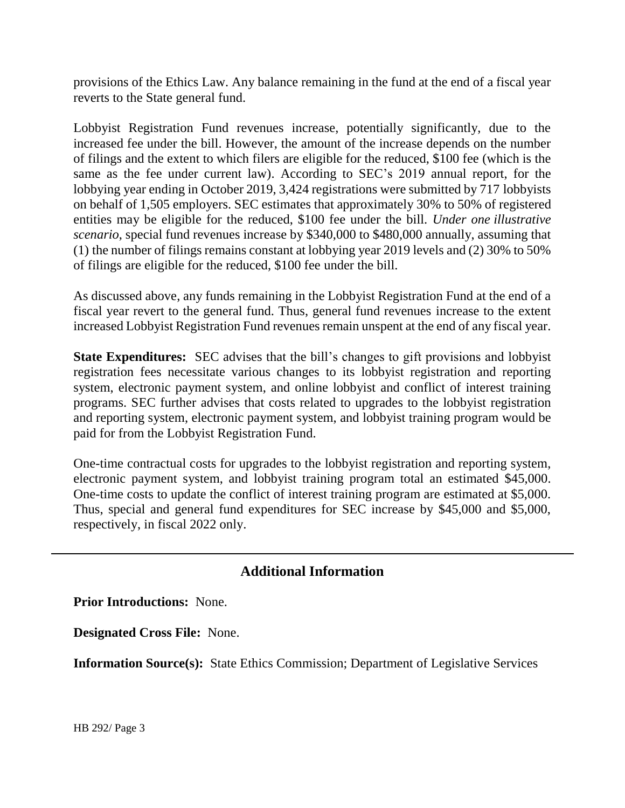provisions of the Ethics Law. Any balance remaining in the fund at the end of a fiscal year reverts to the State general fund.

Lobbyist Registration Fund revenues increase, potentially significantly, due to the increased fee under the bill. However, the amount of the increase depends on the number of filings and the extent to which filers are eligible for the reduced, \$100 fee (which is the same as the fee under current law). According to SEC's 2019 annual report, for the lobbying year ending in October 2019, 3,424 registrations were submitted by 717 lobbyists on behalf of 1,505 employers. SEC estimates that approximately 30% to 50% of registered entities may be eligible for the reduced, \$100 fee under the bill. *Under one illustrative scenario*, special fund revenues increase by \$340,000 to \$480,000 annually, assuming that (1) the number of filings remains constant at lobbying year 2019 levels and (2) 30% to 50% of filings are eligible for the reduced, \$100 fee under the bill.

As discussed above, any funds remaining in the Lobbyist Registration Fund at the end of a fiscal year revert to the general fund. Thus, general fund revenues increase to the extent increased Lobbyist Registration Fund revenues remain unspent at the end of any fiscal year.

**State Expenditures:** SEC advises that the bill's changes to gift provisions and lobbyist registration fees necessitate various changes to its lobbyist registration and reporting system, electronic payment system, and online lobbyist and conflict of interest training programs. SEC further advises that costs related to upgrades to the lobbyist registration and reporting system, electronic payment system, and lobbyist training program would be paid for from the Lobbyist Registration Fund.

One-time contractual costs for upgrades to the lobbyist registration and reporting system, electronic payment system, and lobbyist training program total an estimated \$45,000. One-time costs to update the conflict of interest training program are estimated at \$5,000. Thus, special and general fund expenditures for SEC increase by \$45,000 and \$5,000, respectively, in fiscal 2022 only.

# **Additional Information**

**Prior Introductions:** None.

**Designated Cross File:** None.

**Information Source(s):** State Ethics Commission; Department of Legislative Services